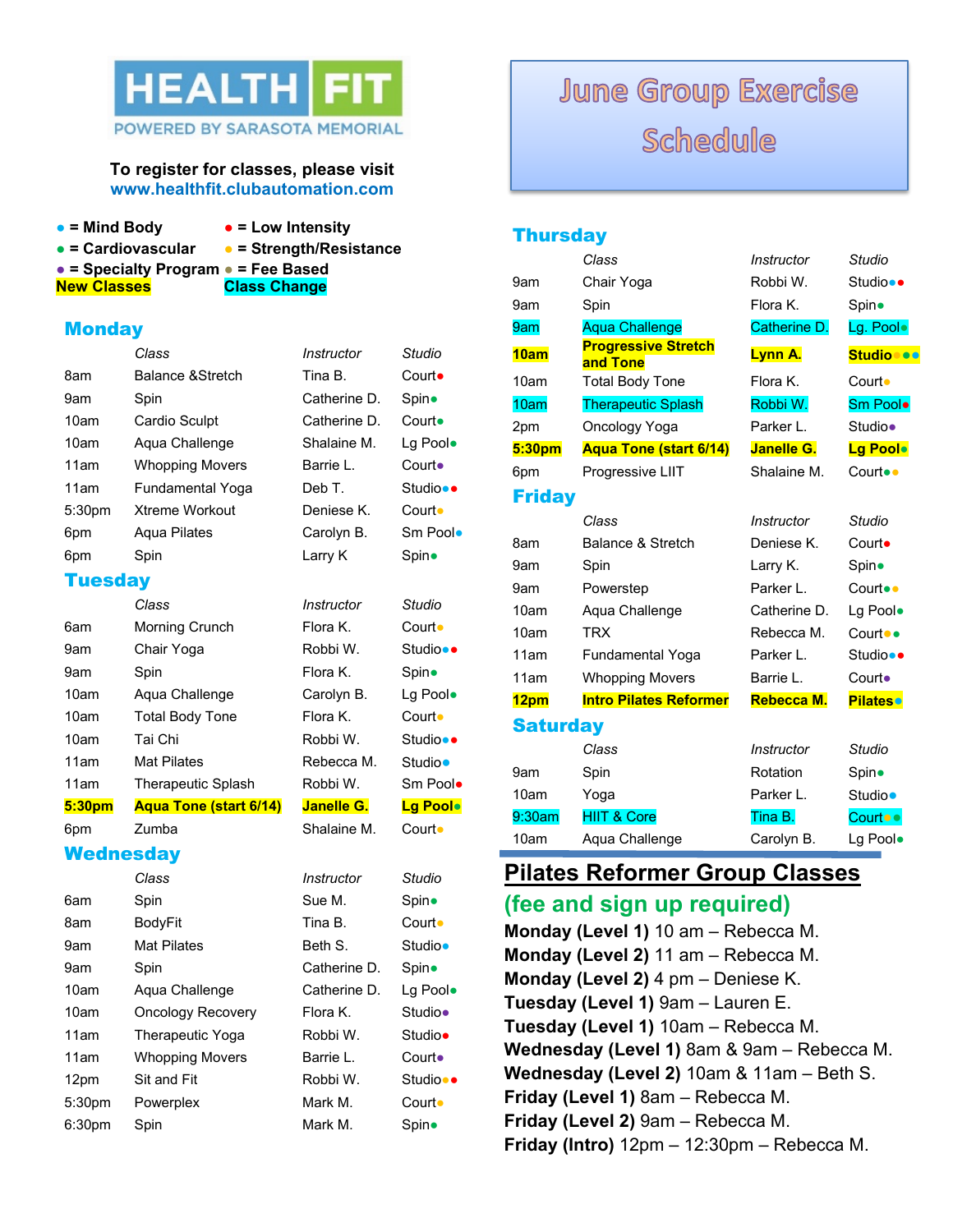

### POWERED BY SARASOTA MEMORIAL

#### **To register for classes, please visit www.healthfit.clubautomation.com**

- 
- **= Mind Body = Low Intensity**
- **= Cardiovascular = Strength/Resistance**
	-

**● = Specialty Program ● = Fee Based**

**New Classes Class Change** 

**Monday** 

|                | Class                         | Instructor   | Studio             |
|----------------|-------------------------------|--------------|--------------------|
| 8am            | Balance & Stretch             | Tina B.      | $C$ ourt $\bullet$ |
| 9am            | Spin                          | Catherine D. | Spin•              |
| 10am           | <b>Cardio Sculpt</b>          | Catherine D. | Court•             |
| 10am           | Aqua Challenge                | Shalaine M.  | Lg Pool.           |
| 11am           | <b>Whopping Movers</b>        | Barrie L.    | Court•             |
| 11am           | Fundamental Yoga              | Deb T.       | Studio••           |
| 5:30pm         | <b>Xtreme Workout</b>         | Deniese K.   | Court •            |
| 6pm            | Agua Pilates                  | Carolyn B.   | Sm Poolo           |
| 6pm            | Spin                          | Larry K      | Spin•              |
| <b>Tuesday</b> |                               |              |                    |
|                |                               |              |                    |
|                | Class                         | Instructor   | Studio             |
| 6am            | Morning Crunch                | Flora K.     | Court •            |
| 9am            | Chair Yoga                    | Robbi W.     | Studio••           |
| 9am            | Spin                          | Flora K.     | Spin•              |
| 10am           | Aqua Challenge                | Carolyn B.   | Lg Pool.           |
| 10am           | <b>Total Body Tone</b>        | Flora K.     | Court •            |
| 10am           | Tai Chi                       | Robbi W.     | Studio••           |
| 11am           | <b>Mat Pilates</b>            | Rebecca M.   | Studio•            |
| 11am           | <b>Therapeutic Splash</b>     | Robbi W.     | Sm Poolo           |
| 5:30pm         | <b>Aqua Tone (start 6/14)</b> | Janelle G.   | Lg Poolo           |

**Wednesday** 

|                    | Class                    | Instructor   | Studio   |
|--------------------|--------------------------|--------------|----------|
| 6am                | Spin                     | Sue M.       | Spin•    |
| 8am                | BodyFit                  | Tina B.      | Court •  |
| 9am                | <b>Mat Pilates</b>       | Beth S.      | Studio•  |
| 9am                | Spin                     | Catherine D. | Spin•    |
| 10am               | Aqua Challenge           | Catherine D. | Lg Poolo |
| 10am               | <b>Oncology Recovery</b> | Flora K.     | Studio•  |
| 11am               | <b>Therapeutic Yoga</b>  | Robbi W.     | Studio•  |
| 11am               | <b>Whopping Movers</b>   | Barrie L.    | Court•   |
| 12pm               | Sit and Fit              | Robbi W.     | Studio•• |
| 5:30 <sub>pm</sub> | Powerplex                | Mark M.      | Court •  |
| 6:30 <sub>pm</sub> | Spin                     | Mark M.      | Spin•    |

# **June Group Exercise** Schedule

### **Thursday** *Class Instructor Studio* 9am Chair Yoga Robbi W. Studio**●●** 9am Spin Flora K. Spin 9am Aqua Challenge Catherine D. Lg. Pool. **10am Progressive Stretch and Tone Lynn A. Studio●●●** 10am Total Body Tone Flora K. Court• 10am Therapeutic Splash Robbi W. Sm Pool**●** 2pm Oncology Yoga Parker L. Studio● **5:30pm Aqua Tone (start 6/14) Janelle G. Lg Pool●** 6pm Progressive LIIT Shalaine M. Court●● Friday *Class Instructor Studio* 8am Balance & Stretch Deniese K. Court**●** 9am Spin Larry K. Spin 9am Powerstep Parker L. Court●● 10am Aqua Challenge Catherine D. Lg Pool. 10am TRX Rebecca M. Court●● 11am Fundamental Yoga Parker L. Studio**●●** 11am Whopping Movers Barrie L. Court. **12pm Intro Pilates Reformer Rebecca M. Pilates● Saturday** *Class Instructor Studio* 9am Spin Rotation Spin 10am Yoga **Parker L.** Studio● 9:30am HIIT & Core Tina B. Court●● 10am Aqua Challenge Carolyn B. Lg Pool.

### **Pilates Reformer Group Classes**

### **(fee and sign up required)**

**Monday (Level 1)** 10 am – Rebecca M. **Monday (Level 2)** 11 am – Rebecca M. **Monday (Level 2)** 4 pm – Deniese K. **Tuesday (Level 1)** 9am – Lauren E. **Tuesday (Level 1)** 10am – Rebecca M. **Wednesday (Level 1)** 8am & 9am – Rebecca M. **Wednesday (Level 2)** 10am & 11am – Beth S. **Friday (Level 1)** 8am – Rebecca M. **Friday (Level 2)** 9am – Rebecca M. **Friday (Intro)** 12pm – 12:30pm – Rebecca M.